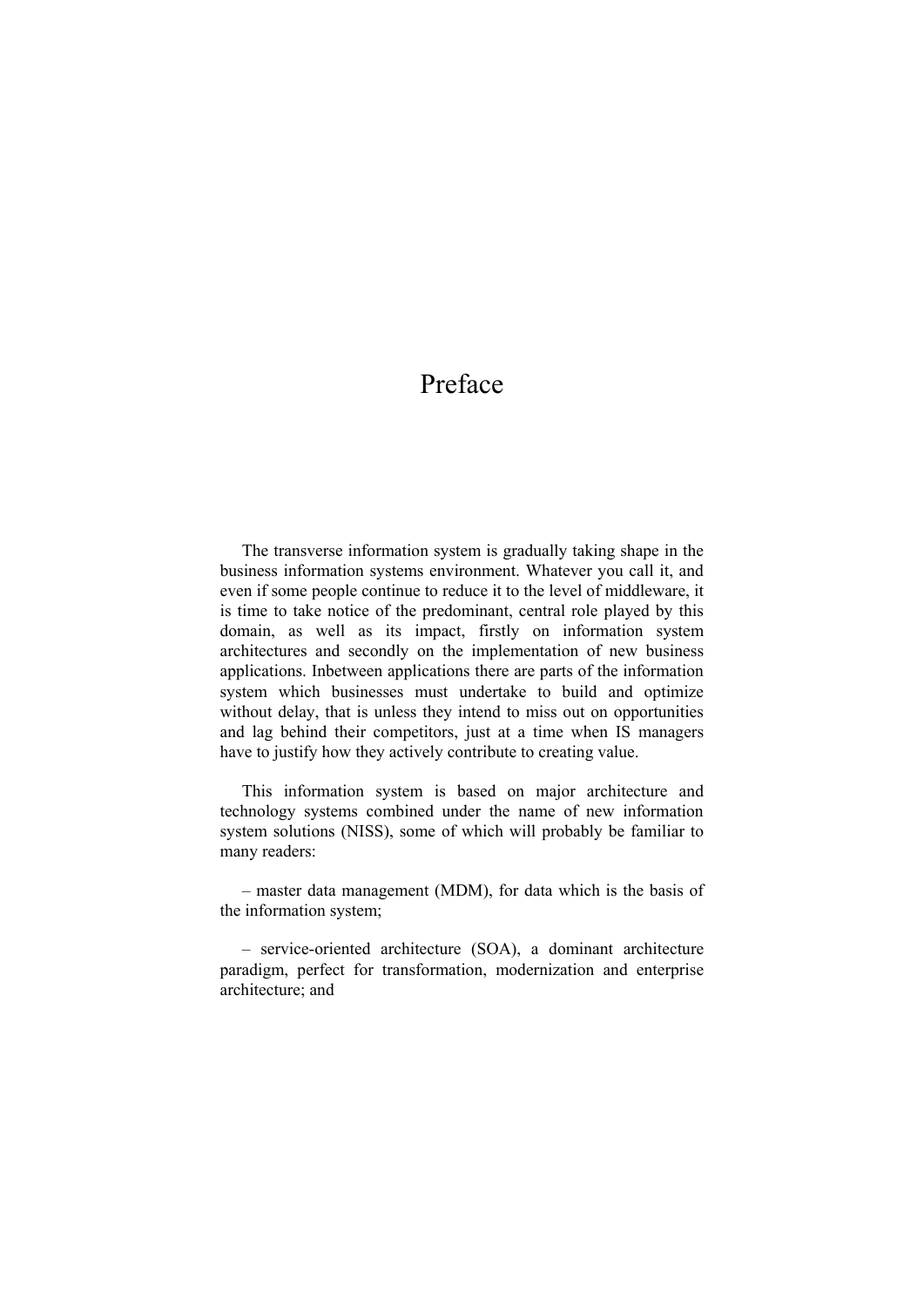## Preface

The transverse information system is gradually taking shape in the business information systems environment. Whatever you call it, and even if some people continue to reduce it to the level of middleware, it is time to take notice of the predominant, central role played by this domain, as well as its impact, firstly on information system architectures and secondly on the implementation of new business applications. Inbetween applications there are parts of the information system which businesses must undertake to build and optimize without delay, that is unless they intend to miss out on opportunities and lag behind their competitors, just at a time when IS managers have to justify how they actively contribute to creating value.

This information system is based on major architecture and technology systems combined under the name of new information system solutions (NISS), some of which will probably be familiar to many readers:

– master data management (MDM), for data which is the basis of the information system;

– service-oriented architecture (SOA), a dominant architecture paradigm, perfect for transformation, modernization and enterprise architecture; and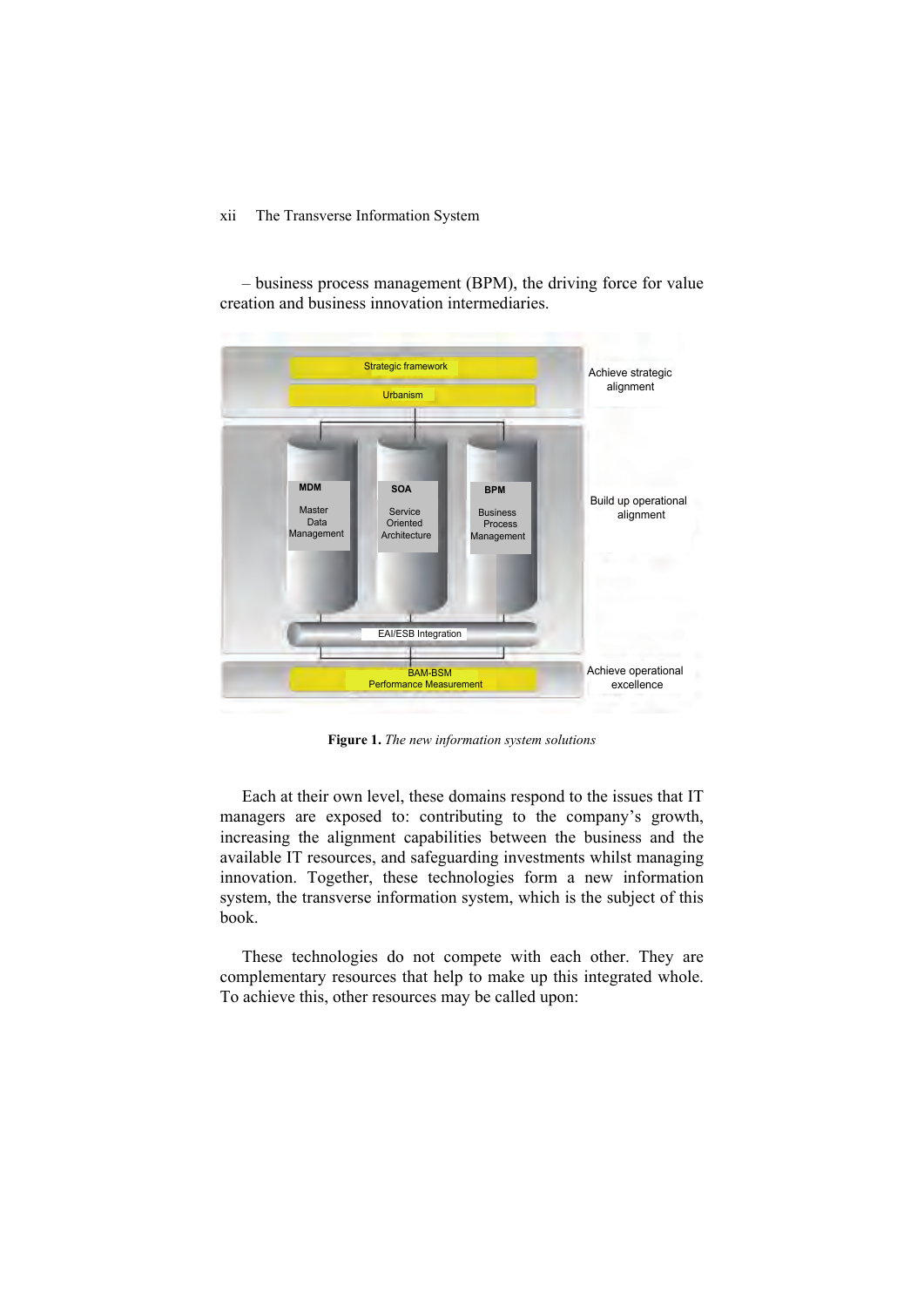## xii The Transverse Information System

Strategic framework Urbanism BAM-BSM Performance Measurement EAI/ESB Integration Achieve strategic alignment Build up operational alignment Achieve operational excellence **MDM Master**  Data Management **SOA** Service Oriented **Architecture BPM** Business Process Management

– business process management (BPM), the driving force for value creation and business innovation intermediaries.

**Figure 1.** *The new information system solutions* 

Each at their own level, these domains respond to the issues that IT managers are exposed to: contributing to the company's growth, increasing the alignment capabilities between the business and the available IT resources, and safeguarding investments whilst managing innovation. Together, these technologies form a new information system, the transverse information system, which is the subject of this book.

These technologies do not compete with each other. They are complementary resources that help to make up this integrated whole. To achieve this, other resources may be called upon: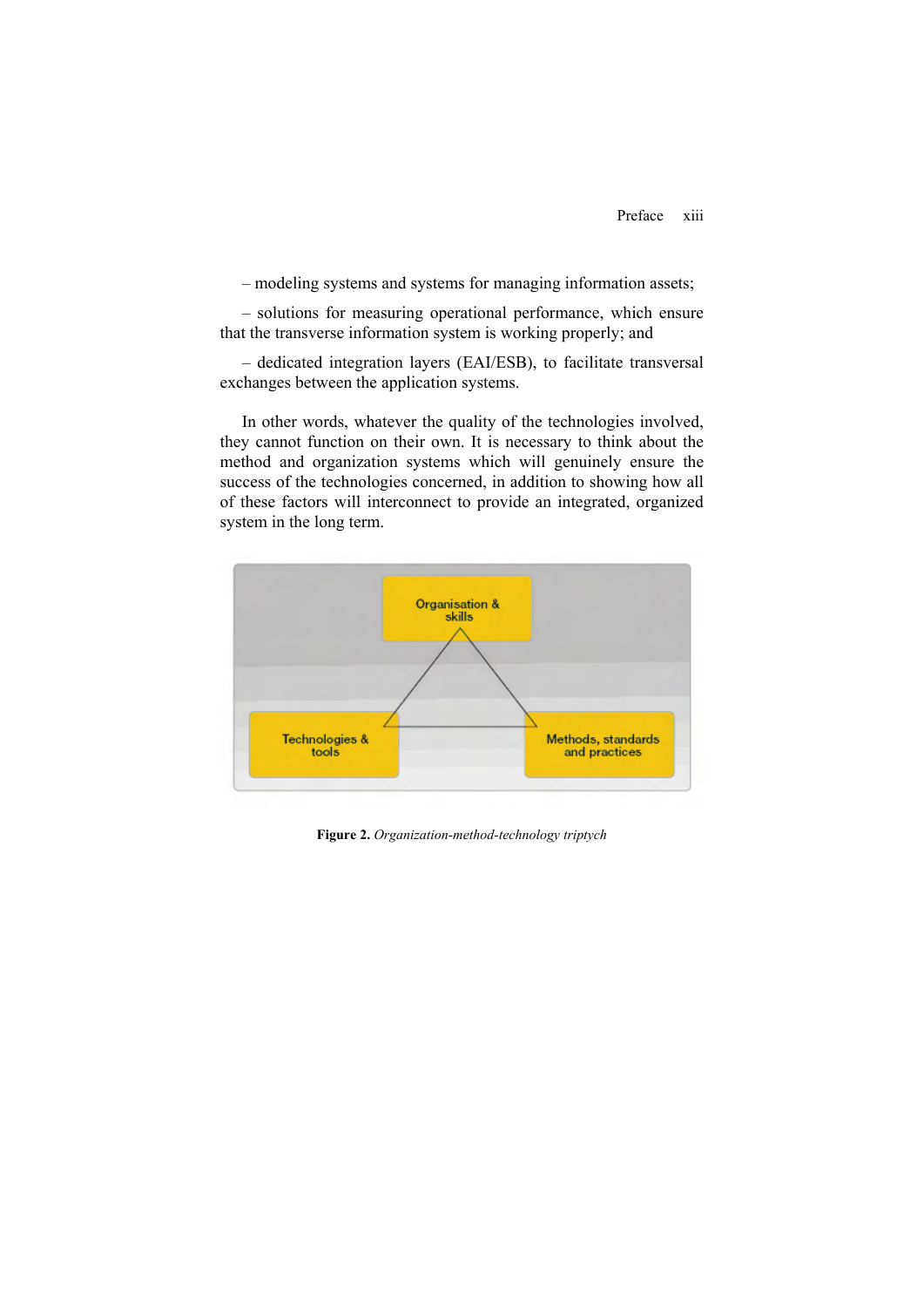– modeling systems and systems for managing information assets;

– solutions for measuring operational performance, which ensure that the transverse information system is working properly; and

– dedicated integration layers (EAI/ESB), to facilitate transversal exchanges between the application systems.

In other words, whatever the quality of the technologies involved, they cannot function on their own. It is necessary to think about the method and organization systems which will genuinely ensure the success of the technologies concerned, in addition to showing how all of these factors will interconnect to provide an integrated, organized system in the long term.



**Figure 2.** *Organization-method-technology triptych*